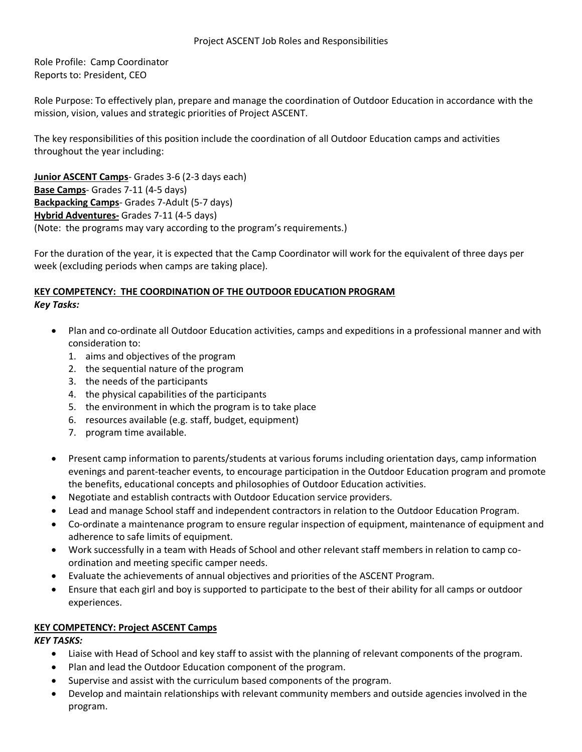Role Profile: Camp Coordinator Reports to: President, CEO

Role Purpose: To effectively plan, prepare and manage the coordination of Outdoor Education in accordance with the mission, vision, values and strategic priorities of Project ASCENT.

The key responsibilities of this position include the coordination of all Outdoor Education camps and activities throughout the year including:

**Junior ASCENT Camps**- Grades 3-6 (2-3 days each) **Base Camps**- Grades 7-11 (4-5 days) **Backpacking Camps**- Grades 7-Adult (5-7 days) **Hybrid Adventures-** Grades 7-11 (4-5 days) (Note: the programs may vary according to the program's requirements.)

For the duration of the year, it is expected that the Camp Coordinator will work for the equivalent of three days per week (excluding periods when camps are taking place).

# **KEY COMPETENCY: THE COORDINATION OF THE OUTDOOR EDUCATION PROGRAM**  *Key Tasks:*

- Plan and co-ordinate all Outdoor Education activities, camps and expeditions in a professional manner and with consideration to:
	- 1. aims and objectives of the program
	- 2. the sequential nature of the program
	- 3. the needs of the participants
	- 4. the physical capabilities of the participants
	- 5. the environment in which the program is to take place
	- 6. resources available (e.g. staff, budget, equipment)
	- 7. program time available.
- Present camp information to parents/students at various forums including orientation days, camp information evenings and parent-teacher events, to encourage participation in the Outdoor Education program and promote the benefits, educational concepts and philosophies of Outdoor Education activities.
- Negotiate and establish contracts with Outdoor Education service providers.
- Lead and manage School staff and independent contractors in relation to the Outdoor Education Program.
- Co-ordinate a maintenance program to ensure regular inspection of equipment, maintenance of equipment and adherence to safe limits of equipment.
- Work successfully in a team with Heads of School and other relevant staff members in relation to camp coordination and meeting specific camper needs.
- Evaluate the achievements of annual objectives and priorities of the ASCENT Program.
- Ensure that each girl and boy is supported to participate to the best of their ability for all camps or outdoor experiences.

## **KEY COMPETENCY: Project ASCENT Camps**

*KEY TASKS:* 

- Liaise with Head of School and key staff to assist with the planning of relevant components of the program.
- Plan and lead the Outdoor Education component of the program.
- Supervise and assist with the curriculum based components of the program.
- Develop and maintain relationships with relevant community members and outside agencies involved in the program.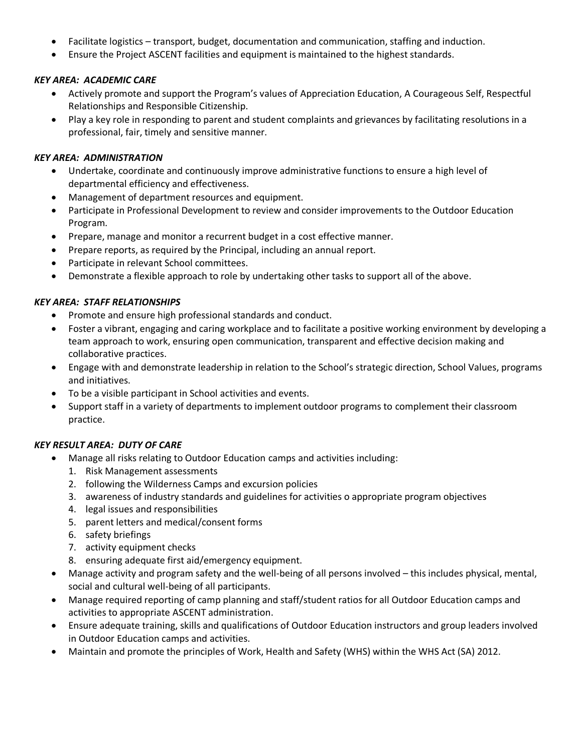- Facilitate logistics transport, budget, documentation and communication, staffing and induction.
- Ensure the Project ASCENT facilities and equipment is maintained to the highest standards.

#### *KEY AREA: ACADEMIC CARE*

- Actively promote and support the Program's values of Appreciation Education, A Courageous Self, Respectful Relationships and Responsible Citizenship.
- Play a key role in responding to parent and student complaints and grievances by facilitating resolutions in a professional, fair, timely and sensitive manner.

## *KEY AREA: ADMINISTRATION*

- Undertake, coordinate and continuously improve administrative functions to ensure a high level of departmental efficiency and effectiveness.
- Management of department resources and equipment.
- Participate in Professional Development to review and consider improvements to the Outdoor Education Program.
- Prepare, manage and monitor a recurrent budget in a cost effective manner.
- Prepare reports, as required by the Principal, including an annual report.
- Participate in relevant School committees.
- Demonstrate a flexible approach to role by undertaking other tasks to support all of the above.

## *KEY AREA: STAFF RELATIONSHIPS*

- Promote and ensure high professional standards and conduct.
- Foster a vibrant, engaging and caring workplace and to facilitate a positive working environment by developing a team approach to work, ensuring open communication, transparent and effective decision making and collaborative practices.
- Engage with and demonstrate leadership in relation to the School's strategic direction, School Values, programs and initiatives.
- To be a visible participant in School activities and events.
- Support staff in a variety of departments to implement outdoor programs to complement their classroom practice.

## *KEY RESULT AREA: DUTY OF CARE*

- Manage all risks relating to Outdoor Education camps and activities including:
	- 1. Risk Management assessments
	- 2. following the Wilderness Camps and excursion policies
	- 3. awareness of industry standards and guidelines for activities o appropriate program objectives
	- 4. legal issues and responsibilities
	- 5. parent letters and medical/consent forms
	- 6. safety briefings
	- 7. activity equipment checks
	- 8. ensuring adequate first aid/emergency equipment.
- Manage activity and program safety and the well-being of all persons involved this includes physical, mental, social and cultural well-being of all participants.
- Manage required reporting of camp planning and staff/student ratios for all Outdoor Education camps and activities to appropriate ASCENT administration.
- Ensure adequate training, skills and qualifications of Outdoor Education instructors and group leaders involved in Outdoor Education camps and activities.
- Maintain and promote the principles of Work, Health and Safety (WHS) within the WHS Act (SA) 2012.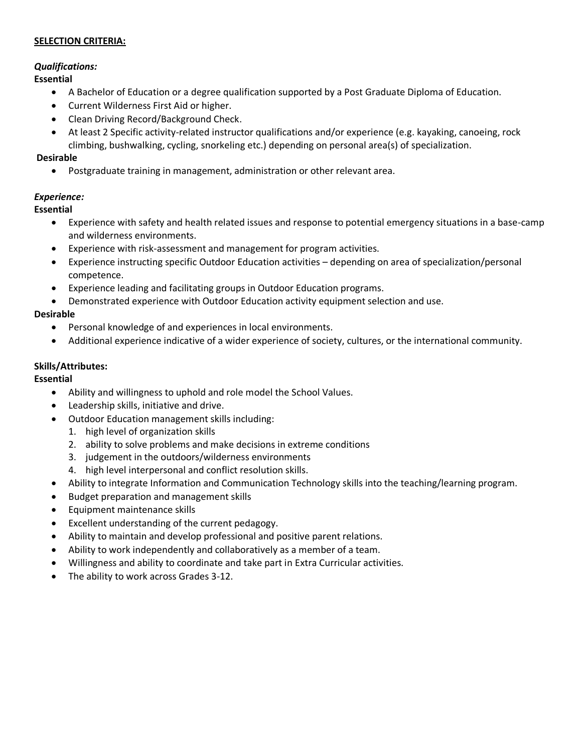#### **SELECTION CRITERIA:**

# *Qualifications:*

## **Essential**

- A Bachelor of Education or a degree qualification supported by a Post Graduate Diploma of Education.
- Current Wilderness First Aid or higher.
- Clean Driving Record/Background Check.
- At least 2 Specific activity-related instructor qualifications and/or experience (e.g. kayaking, canoeing, rock climbing, bushwalking, cycling, snorkeling etc.) depending on personal area(s) of specialization.

## **Desirable**

• Postgraduate training in management, administration or other relevant area.

## *Experience:*

## **Essential**

- Experience with safety and health related issues and response to potential emergency situations in a base-camp and wilderness environments.
- Experience with risk-assessment and management for program activities.
- Experience instructing specific Outdoor Education activities depending on area of specialization/personal competence.
- Experience leading and facilitating groups in Outdoor Education programs.
- Demonstrated experience with Outdoor Education activity equipment selection and use.

## **Desirable**

- Personal knowledge of and experiences in local environments.
- Additional experience indicative of a wider experience of society, cultures, or the international community.

## **Skills/Attributes:**

## **Essential**

- Ability and willingness to uphold and role model the School Values.
- Leadership skills, initiative and drive.
- Outdoor Education management skills including:
	- 1. high level of organization skills
	- 2. ability to solve problems and make decisions in extreme conditions
	- 3. judgement in the outdoors/wilderness environments
	- 4. high level interpersonal and conflict resolution skills.
- Ability to integrate Information and Communication Technology skills into the teaching/learning program.
- Budget preparation and management skills
- Equipment maintenance skills
- Excellent understanding of the current pedagogy.
- Ability to maintain and develop professional and positive parent relations.
- Ability to work independently and collaboratively as a member of a team.
- Willingness and ability to coordinate and take part in Extra Curricular activities.
- The ability to work across Grades 3-12.